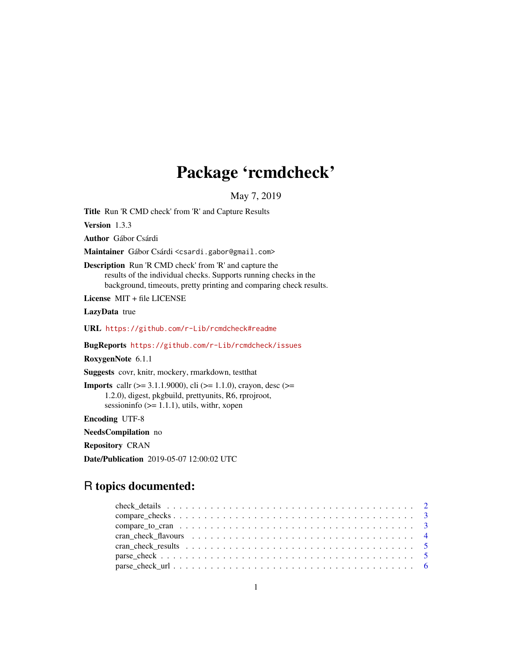# Package 'rcmdcheck'

May 7, 2019

<span id="page-0-0"></span>Title Run 'R CMD check' from 'R' and Capture Results

Version 1.3.3

Author Gábor Csárdi

Maintainer Gábor Csárdi <csardi.gabor@gmail.com>

Description Run 'R CMD check' from 'R' and capture the results of the individual checks. Supports running checks in the background, timeouts, pretty printing and comparing check results.

License MIT + file LICENSE

LazyData true

URL <https://github.com/r-Lib/rcmdcheck#readme>

BugReports <https://github.com/r-Lib/rcmdcheck/issues>

RoxygenNote 6.1.1

Suggests covr, knitr, mockery, rmarkdown, testthat

**Imports** call  $(>= 3.1.1.9000)$ , cli  $(>= 1.1.0)$ , crayon, desc  $(>= 1.1.0)$ 1.2.0), digest, pkgbuild, prettyunits, R6, rprojroot, sessioninfo  $(>= 1.1.1)$ , utils, with r, xopen

Encoding UTF-8

NeedsCompilation no

Repository CRAN

Date/Publication 2019-05-07 12:00:02 UTC

# R topics documented:

| $parse\_check\_url \dots \dots \dots \dots \dots \dots \dots \dots \dots \dots \dots \dots \dots \dots \dots \dots \dots \dots$ |
|---------------------------------------------------------------------------------------------------------------------------------|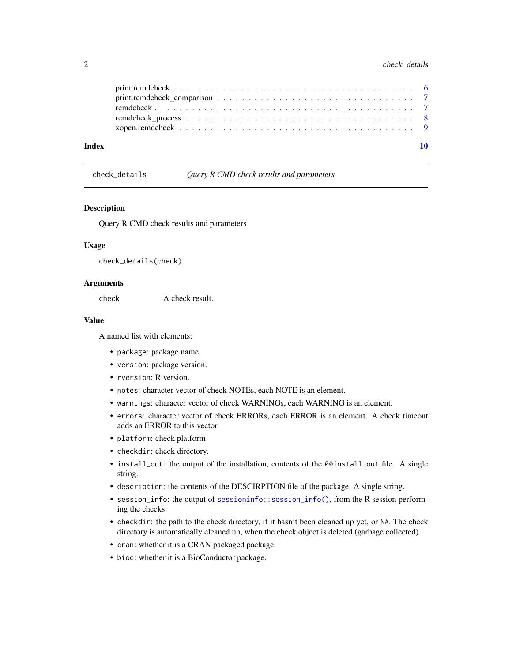# <span id="page-1-0"></span>2 check\_details

| Index |  |
|-------|--|
|       |  |
|       |  |
|       |  |
|       |  |
|       |  |

check\_details *Query R CMD check results and parameters*

## **Description**

Query R CMD check results and parameters

#### Usage

check\_details(check)

#### Arguments

check **A** check result.

#### Value

A named list with elements:

- package: package name.
- version: package version.
- rversion: R version.
- notes: character vector of check NOTEs, each NOTE is an element.
- warnings: character vector of check WARNINGs, each WARNING is an element.
- errors: character vector of check ERRORs, each ERROR is an element. A check timeout adds an ERROR to this vector.
- platform: check platform
- checkdir: check directory.
- install\_out: the output of the installation, contents of the 00install.out file. A single string.
- description: the contents of the DESCIRPTION file of the package. A single string.
- session\_info: the output of [sessioninfo::session\\_info\(\)](#page-0-0), from the R session performing the checks.
- checkdir: the path to the check directory, if it hasn't been cleaned up yet, or NA. The check directory is automatically cleaned up, when the check object is deleted (garbage collected).
- cran: whether it is a CRAN packaged package.
- bioc: whether it is a BioConductor package.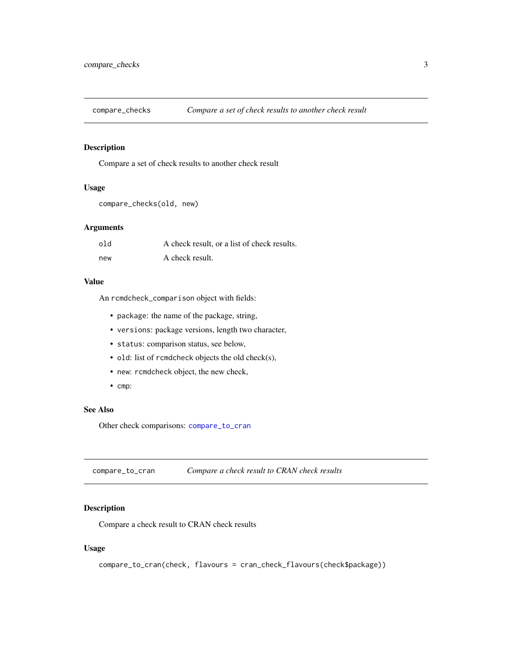<span id="page-2-2"></span><span id="page-2-0"></span>

# Description

Compare a set of check results to another check result

#### Usage

```
compare_checks(old, new)
```
# Arguments

| old | A check result, or a list of check results. |
|-----|---------------------------------------------|
| new | A check result.                             |

#### Value

An rcmdcheck\_comparison object with fields:

- package: the name of the package, string,
- versions: package versions, length two character,
- status: comparison status, see below,
- old: list of rcmdcheck objects the old check(s),
- new: rcmdcheck object, the new check,
- cmp:

# See Also

Other check comparisons: [compare\\_to\\_cran](#page-2-1)

<span id="page-2-1"></span>compare\_to\_cran *Compare a check result to CRAN check results*

## Description

Compare a check result to CRAN check results

### Usage

```
compare_to_cran(check, flavours = cran_check_flavours(check$package))
```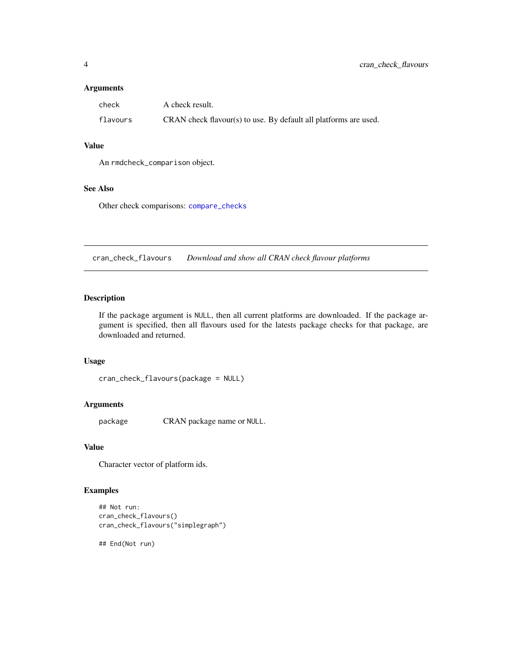#### <span id="page-3-0"></span>Arguments

| check    | A check result.                                                  |
|----------|------------------------------------------------------------------|
| flavours | CRAN check flavour(s) to use. By default all platforms are used. |

#### Value

An rmdcheck\_comparison object.

# See Also

Other check comparisons: [compare\\_checks](#page-2-2)

cran\_check\_flavours *Download and show all CRAN check flavour platforms*

# Description

If the package argument is NULL, then all current platforms are downloaded. If the package argument is specified, then all flavours used for the latests package checks for that package, are downloaded and returned.

#### Usage

```
cran_check_flavours(package = NULL)
```
# Arguments

package CRAN package name or NULL.

# Value

Character vector of platform ids.

# Examples

```
## Not run:
cran_check_flavours()
cran_check_flavours("simplegraph")
```
## End(Not run)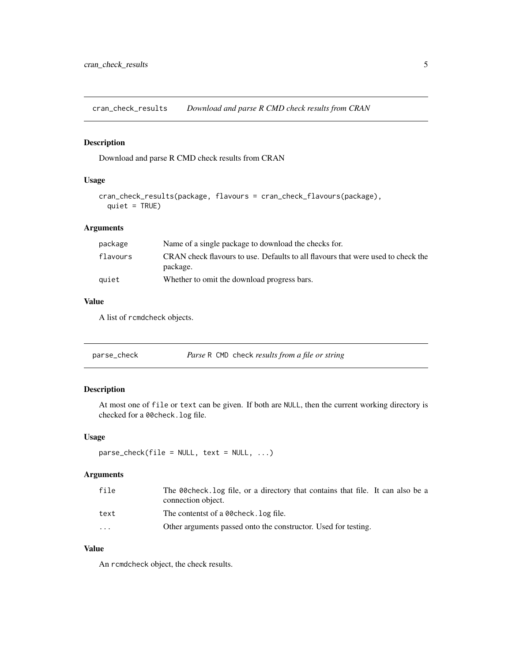<span id="page-4-0"></span>cran\_check\_results *Download and parse R CMD check results from CRAN*

# Description

Download and parse R CMD check results from CRAN

# Usage

```
cran_check_results(package, flavours = cran_check_flavours(package),
  quiet = TRUE)
```
# Arguments

| package  | Name of a single package to download the checks for.                                         |
|----------|----------------------------------------------------------------------------------------------|
| flavours | CRAN check flavours to use. Defaults to all flavours that were used to check the<br>package. |
| quiet    | Whether to omit the download progress bars.                                                  |

#### Value

A list of rcmdcheck objects.

<span id="page-4-1"></span>

| parse_check |  | Parse R CMD check results from a file or string |
|-------------|--|-------------------------------------------------|
|-------------|--|-------------------------------------------------|

# Description

At most one of file or text can be given. If both are NULL, then the current working directory is checked for a 00check.log file.

# Usage

```
parse\_check(file = NULL, text = NULL, ...)
```
#### Arguments

| file                    | The 00 check, log file, or a directory that contains that file. It can also be a<br>connection object. |
|-------------------------|--------------------------------------------------------------------------------------------------------|
| text                    | The contentst of a 00 check. Log file.                                                                 |
| $\cdot$ $\cdot$ $\cdot$ | Other arguments passed onto the constructor. Used for testing.                                         |

# Value

An rcmdcheck object, the check results.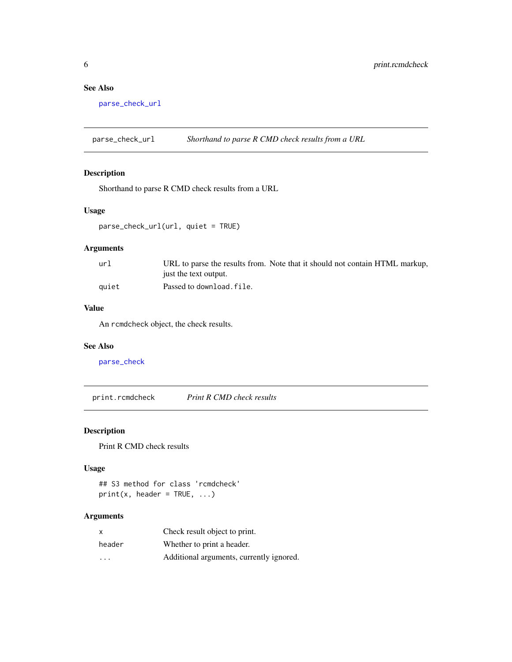# See Also

[parse\\_check\\_url](#page-5-1)

<span id="page-5-1"></span>parse\_check\_url *Shorthand to parse R CMD check results from a URL*

# Description

Shorthand to parse R CMD check results from a URL

# Usage

```
parse_check_url(url, quiet = TRUE)
```
# Arguments

| url   | URL to parse the results from. Note that it should not contain HTML markup, |
|-------|-----------------------------------------------------------------------------|
|       | just the text output.                                                       |
| auiet | Passed to download.file.                                                    |

# Value

An rcmdcheck object, the check results.

#### See Also

[parse\\_check](#page-4-1)

print.rcmdcheck *Print R CMD check results*

#### Description

Print R CMD check results

#### Usage

## S3 method for class 'rcmdcheck'  $print(x, header = TRUE, ...)$ 

# Arguments

| X                       | Check result object to print.            |
|-------------------------|------------------------------------------|
| header                  | Whether to print a header.               |
| $\cdot$ $\cdot$ $\cdot$ | Additional arguments, currently ignored. |

<span id="page-5-0"></span>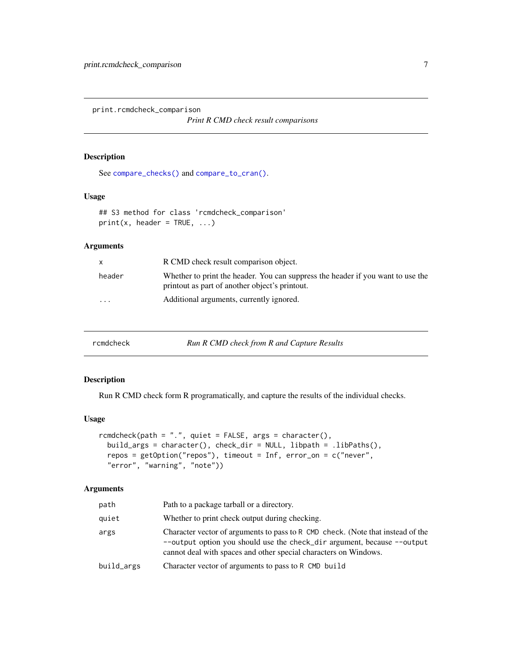<span id="page-6-0"></span>print.rcmdcheck\_comparison

*Print R CMD check result comparisons*

#### Description

See [compare\\_checks\(\)](#page-2-2) and [compare\\_to\\_cran\(\)](#page-2-1).

#### Usage

```
## S3 method for class 'rcmdcheck_comparison'
print(x, header = TRUE, ...)
```
# Arguments

|                         | R CMD check result comparison object.                                                                                             |
|-------------------------|-----------------------------------------------------------------------------------------------------------------------------------|
| header                  | Whether to print the header. You can suppress the header if you want to use the<br>printout as part of another object's printout. |
| $\cdot$ $\cdot$ $\cdot$ | Additional arguments, currently ignored.                                                                                          |

<span id="page-6-1"></span>

| rcmdcheck | Run R CMD check from R and Capture Results |  |
|-----------|--------------------------------------------|--|
|-----------|--------------------------------------------|--|

# Description

Run R CMD check form R programatically, and capture the results of the individual checks.

#### Usage

```
rcmdcheck(path = ".", quiet = FALSE, args = character(),
 build_args = character(), check_dir = NULL, libpath = .libPaths(),
 repos = getOption("repos"), timeout = Inf, error_on = c("never",
 "error", "warning", "note"))
```
# Arguments

| path       | Path to a package tarball or a directory.                                                                                                                                                                                      |
|------------|--------------------------------------------------------------------------------------------------------------------------------------------------------------------------------------------------------------------------------|
| quiet      | Whether to print check output during checking.                                                                                                                                                                                 |
| args       | Character vector of arguments to pass to R CMD check. (Note that instead of the<br>--output option you should use the check_dir argument, because --output<br>cannot deal with spaces and other special characters on Windows. |
| build_args | Character vector of arguments to pass to R CMD build                                                                                                                                                                           |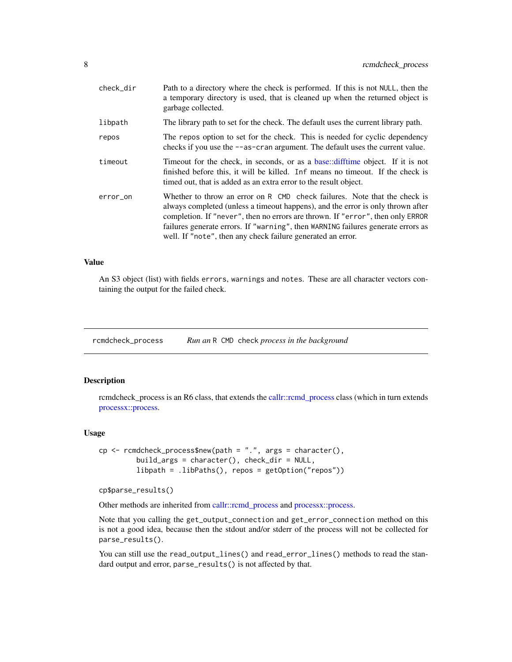<span id="page-7-0"></span>

| check_dir | Path to a directory where the check is performed. If this is not NULL, then the<br>a temporary directory is used, that is cleaned up when the returned object is<br>garbage collected.                                                                                                                                                                                                            |
|-----------|---------------------------------------------------------------------------------------------------------------------------------------------------------------------------------------------------------------------------------------------------------------------------------------------------------------------------------------------------------------------------------------------------|
| libpath   | The library path to set for the check. The default uses the current library path.                                                                                                                                                                                                                                                                                                                 |
| repos     | The repos option to set for the check. This is needed for cyclic dependency<br>checks if you use the --as-cran argument. The default uses the current value.                                                                                                                                                                                                                                      |
| timeout   | Timeout for the check, in seconds, or as a base: difftime object. If it is not<br>finished before this, it will be killed. Inf means no timeout. If the check is<br>timed out, that is added as an extra error to the result object.                                                                                                                                                              |
| error_on  | Whether to throw an error on R CMD check failures. Note that the check is<br>always completed (unless a timeout happens), and the error is only thrown after<br>completion. If "never", then no errors are thrown. If "error", then only ERROR<br>failures generate errors. If "warning", then WARNING failures generate errors as<br>well. If "note", then any check failure generated an error. |

#### Value

An S3 object (list) with fields errors, warnings and notes. These are all character vectors containing the output for the failed check.

rcmdcheck\_process *Run an* R CMD check *process in the background*

#### Description

rcmdcheck\_process is an R6 class, that extends the [callr::rcmd\\_process](#page-0-0) class (which in turn extends [processx::process.](#page-0-0)

#### Usage

```
cp <- rcmdcheck_process$new(path = ".", args = character(),
         build_args = character(), check_dir = NULL,
         libpath = .libPaths(), repos = getOption("repos"))
```

```
cp$parse_results()
```
Other methods are inherited from [callr::rcmd\\_process](#page-0-0) and [processx::process.](#page-0-0)

Note that you calling the get\_output\_connection and get\_error\_connection method on this is not a good idea, because then the stdout and/or stderr of the process will not be collected for parse\_results().

You can still use the read\_output\_lines() and read\_error\_lines() methods to read the standard output and error, parse\_results() is not affected by that.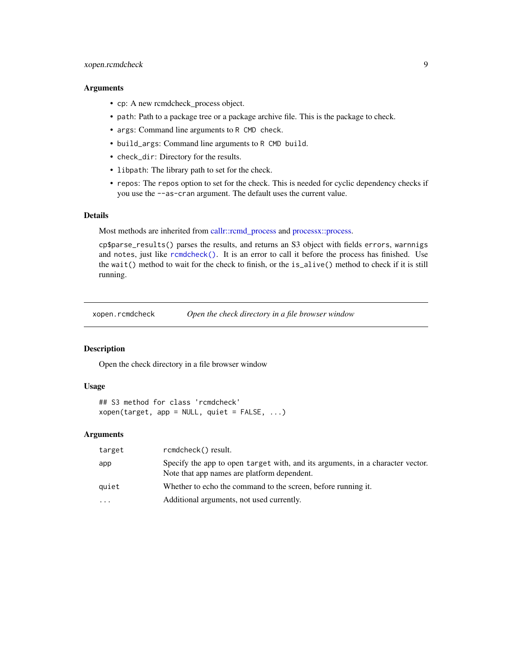#### <span id="page-8-0"></span>xopen.rcmdcheck 9

#### Arguments

- cp: A new rcmdcheck\_process object.
- path: Path to a package tree or a package archive file. This is the package to check.
- args: Command line arguments to R CMD check.
- build\_args: Command line arguments to R CMD build.
- check\_dir: Directory for the results.
- libpath: The library path to set for the check.
- repos: The repos option to set for the check. This is needed for cyclic dependency checks if you use the --as-cran argument. The default uses the current value.

#### Details

Most methods are inherited from [callr::rcmd\\_process](#page-0-0) and [processx::process.](#page-0-0)

cp\$parse\_results() parses the results, and returns an S3 object with fields errors, warnnigs and notes, just like [rcmdcheck\(\)](#page-6-1). It is an error to call it before the process has finished. Use the wait() method to wait for the check to finish, or the is\_alive() method to check if it is still running.

xopen.rcmdcheck *Open the check directory in a file browser window*

# Description

Open the check directory in a file browser window

# Usage

```
## S3 method for class 'rcmdcheck'
xopen(target, app = NULL, quiet = FALSE, ...)
```
#### Arguments

| target    | rcmdcheck() result.                                                                                                           |
|-----------|-------------------------------------------------------------------------------------------------------------------------------|
| app       | Specify the app to open target with, and its arguments, in a character vector.<br>Note that app names are platform dependent. |
| auiet     | Whether to echo the command to the screen, before running it.                                                                 |
| $\ddotsc$ | Additional arguments, not used currently.                                                                                     |